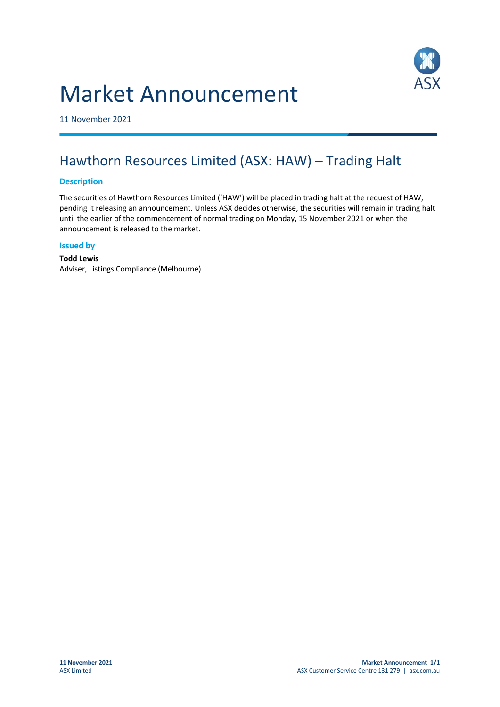# Market Announcement



11 November 2021

## Hawthorn Resources Limited (ASX: HAW) – Trading Halt

#### **Description**

The securities of Hawthorn Resources Limited ('HAW') will be placed in trading halt at the request of HAW, pending it releasing an announcement. Unless ASX decides otherwise, the securities will remain in trading halt until the earlier of the commencement of normal trading on Monday, 15 November 2021 or when the announcement is released to the market.

#### **Issued by**

**Todd Lewis** Adviser, Listings Compliance (Melbourne)